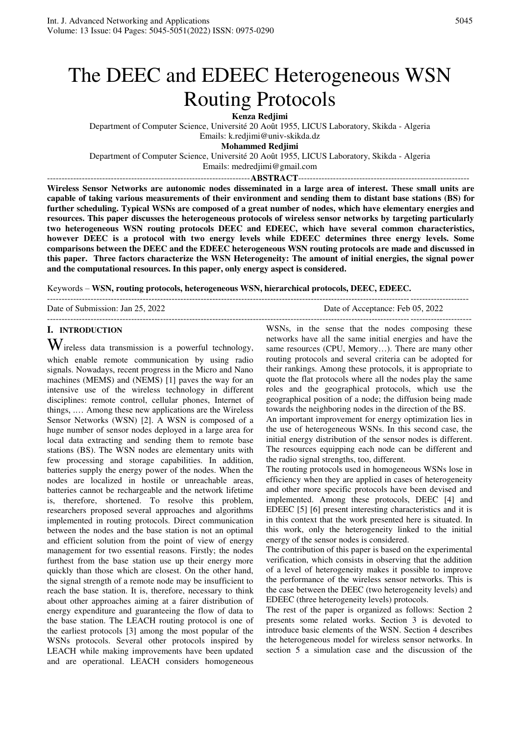# The DEEC and EDEEC Heterogeneous WSN Routing Protocols

**Kenza Redjimi** 

Department of Computer Science, Université 20 Août 1955, LICUS Laboratory, Skikda - Algeria Emails: k.redjimi@univ-skikda.dz

**Mohammed Redjimi** 

Department of Computer Science, Université 20 Août 1955, LICUS Laboratory, Skikda - Algeria

Emails: medredjimi@gmail.com ----------------------------------------------------------------------**ABSTRACT**-----------------------------------------------------------

**Wireless Sensor Networks are autonomic nodes disseminated in a large area of interest. These small units are capable of taking various measurements of their environment and sending them to distant base stations (BS) for further scheduling. Typical WSNs are composed of a great number of nodes, which have elementary energies and resources. This paper discusses the heterogeneous protocols of wireless sensor networks by targeting particularly two heterogeneous WSN routing protocols DEEC and EDEEC, which have several common characteristics, however DEEC is a protocol with two energy levels while EDEEC determines three energy levels. Some comparisons between the DEEC and the EDEEC heterogeneous WSN routing protocols are made and discussed in this paper. Three factors characterize the WSN Heterogeneity: The amount of initial energies, the signal power and the computational resources. In this paper, only energy aspect is considered.** 

Keywords – **WSN, routing protocols, heterogeneous WSN, hierarchical protocols, DEEC, EDEEC.**

| Date of Submission: Jan 25, 2022 | Date of Acceptance: Feb 05, 2022 |
|----------------------------------|----------------------------------|
|                                  |                                  |

# **I. INTRODUCTION**

 $\mathbf W$ ireless data transmission is a powerful technology, which enable remote communication by using radio signals. Nowadays, recent progress in the Micro and Nano machines (MEMS) and (NEMS) [1] paves the way for an intensive use of the wireless technology in different disciplines: remote control, cellular phones, Internet of things, .… Among these new applications are the Wireless Sensor Networks (WSN) [2]. A WSN is composed of a huge number of sensor nodes deployed in a large area for local data extracting and sending them to remote base stations (BS). The WSN nodes are elementary units with few processing and storage capabilities. In addition, batteries supply the energy power of the nodes. When the nodes are localized in hostile or unreachable areas, batteries cannot be rechargeable and the network lifetime is, therefore, shortened. To resolve this problem, researchers proposed several approaches and algorithms implemented in routing protocols. Direct communication between the nodes and the base station is not an optimal and efficient solution from the point of view of energy management for two essential reasons. Firstly; the nodes furthest from the base station use up their energy more quickly than those which are closest. On the other hand, the signal strength of a remote node may be insufficient to reach the base station. It is, therefore, necessary to think about other approaches aiming at a fairer distribution of energy expenditure and guaranteeing the flow of data to the base station. The LEACH routing protocol is one of the earliest protocols [3] among the most popular of the WSNs protocols. Several other protocols inspired by LEACH while making improvements have been updated and are operational. LEACH considers homogeneous WSNs, in the sense that the nodes composing these networks have all the same initial energies and have the same resources (CPU, Memory…). There are many other routing protocols and several criteria can be adopted for their rankings. Among these protocols, it is appropriate to quote the flat protocols where all the nodes play the same roles and the geographical protocols, which use the geographical position of a node; the diffusion being made towards the neighboring nodes in the direction of the BS.

An important improvement for energy optimization lies in the use of heterogeneous WSNs. In this second case, the initial energy distribution of the sensor nodes is different. The resources equipping each node can be different and the radio signal strengths, too, different.

The routing protocols used in homogeneous WSNs lose in efficiency when they are applied in cases of heterogeneity and other more specific protocols have been devised and implemented. Among these protocols, DEEC [4] and EDEEC [5] [6] present interesting characteristics and it is in this context that the work presented here is situated. In this work, only the heterogeneity linked to the initial energy of the sensor nodes is considered.

The contribution of this paper is based on the experimental verification, which consists in observing that the addition of a level of heterogeneity makes it possible to improve the performance of the wireless sensor networks. This is the case between the DEEC (two heterogeneity levels) and EDEEC (three heterogeneity levels) protocols.

The rest of the paper is organized as follows: Section 2 presents some related works. Section 3 is devoted to introduce basic elements of the WSN. Section 4 describes the heterogeneous model for wireless sensor networks. In section 5 a simulation case and the discussion of the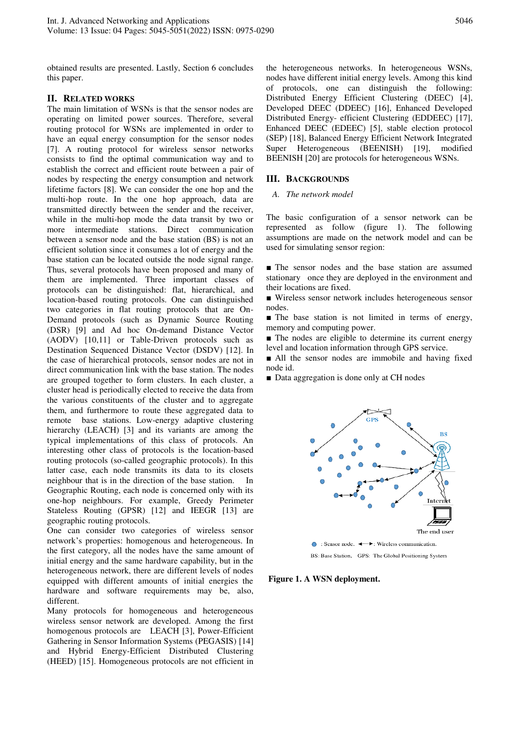obtained results are presented. Lastly, Section 6 concludes this paper.

## **II. RELATED WORKS**

The main limitation of WSNs is that the sensor nodes are operating on limited power sources. Therefore, several routing protocol for WSNs are implemented in order to have an equal energy consumption for the sensor nodes [7]. A routing protocol for wireless sensor networks consists to find the optimal communication way and to establish the correct and efficient route between a pair of nodes by respecting the energy consumption and network lifetime factors [8]. We can consider the one hop and the multi-hop route. In the one hop approach, data are transmitted directly between the sender and the receiver, while in the multi-hop mode the data transit by two or more intermediate stations. Direct communication between a sensor node and the base station (BS) is not an efficient solution since it consumes a lot of energy and the base station can be located outside the node signal range. Thus, several protocols have been proposed and many of them are implemented. Three important classes of protocols can be distinguished: flat, hierarchical, and location-based routing protocols. One can distinguished two categories in flat routing protocols that are On-Demand protocols (such as Dynamic Source Routing (DSR) [9] and Ad hoc On-demand Distance Vector (AODV) [10,11] or Table-Driven protocols such as Destination Sequenced Distance Vector (DSDV) [12]. In the case of hierarchical protocols, sensor nodes are not in direct communication link with the base station. The nodes are grouped together to form clusters. In each cluster, a cluster head is periodically elected to receive the data from the various constituents of the cluster and to aggregate them, and furthermore to route these aggregated data to remote base stations. Low-energy adaptive clustering hierarchy (LEACH) [3] and its variants are among the typical implementations of this class of protocols. An interesting other class of protocols is the location-based routing protocols (so-called geographic protocols). In this latter case, each node transmits its data to its closets neighbour that is in the direction of the base station. In Geographic Routing, each node is concerned only with its one-hop neighbours. For example, Greedy Perimeter Stateless Routing (GPSR) [12] and IEEGR [13] are geographic routing protocols.

One can consider two categories of wireless sensor network's properties: homogenous and heterogeneous. In the first category, all the nodes have the same amount of initial energy and the same hardware capability, but in the heterogeneous network, there are different levels of nodes equipped with different amounts of initial energies the hardware and software requirements may be, also, different.

Many protocols for homogeneous and heterogeneous wireless sensor network are developed. Among the first homogenous protocols are LEACH [3], Power-Efficient Gathering in Sensor Information Systems (PEGASIS) [14] and Hybrid Energy-Efficient Distributed Clustering (HEED) [15]. Homogeneous protocols are not efficient in

the heterogeneous networks. In heterogeneous WSNs, nodes have different initial energy levels. Among this kind of protocols, one can distinguish the following: Distributed Energy Efficient Clustering (DEEC) [4], Developed DEEC (DDEEC) [16], Enhanced Developed Distributed Energy- efficient Clustering (EDDEEC) [17], Enhanced DEEC (EDEEC) [5], stable election protocol (SEP) [18], Balanced Energy Efficient Network Integrated Super Heterogeneous (BEENISH) [19], modified BEENISH [20] are protocols for heterogeneous WSNs.

#### **III. BACKGROUNDS**

#### *A. The network model*

The basic configuration of a sensor network can be represented as follow (figure 1). The following assumptions are made on the network model and can be used for simulating sensor region:

■ The sensor nodes and the base station are assumed stationary once they are deployed in the environment and their locations are fixed.

■ Wireless sensor network includes heterogeneous sensor nodes.

■ The base station is not limited in terms of energy, memory and computing power.

■ The nodes are eligible to determine its current energy level and location information through GPS service.

■ All the sensor nodes are immobile and having fixed node id.

■ Data aggregation is done only at CH nodes



 **Figure 1. A WSN deployment.**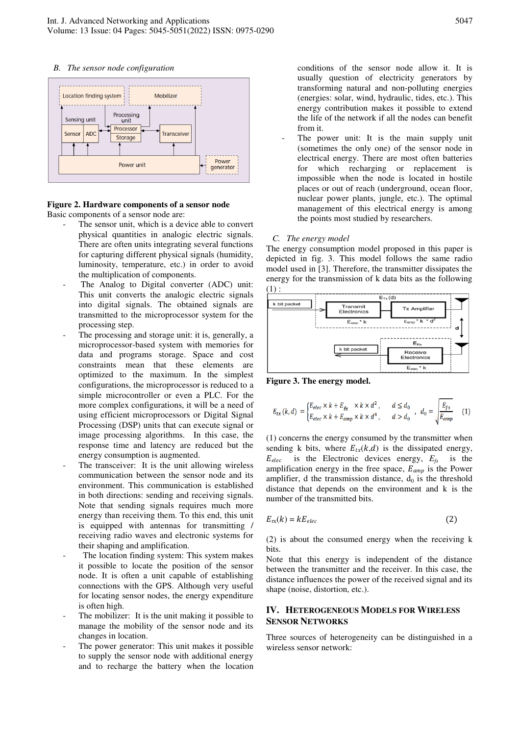

## **Figure 2. Hardware components of a sensor node**  Basic components of a sensor node are:

- The sensor unit, which is a device able to convert physical quantities in analogic electric signals. There are often units integrating several functions for capturing different physical signals (humidity, luminosity, temperature, etc.) in order to avoid the multiplication of components.
	- The Analog to Digital converter (ADC) unit: This unit converts the analogic electric signals into digital signals. The obtained signals are transmitted to the microprocessor system for the processing step.
- The processing and storage unit: it is, generally, a microprocessor-based system with memories for data and programs storage. Space and cost constraints mean that these elements are optimized to the maximum. In the simplest configurations, the microprocessor is reduced to a simple microcontroller or even a PLC. For the more complex configurations, it will be a need of using efficient microprocessors or Digital Signal Processing (DSP) units that can execute signal or image processing algorithms. In this case, the response time and latency are reduced but the energy consumption is augmented.
- The transceiver: It is the unit allowing wireless communication between the sensor node and its environment. This communication is established in both directions: sending and receiving signals. Note that sending signals requires much more energy than receiving them. To this end, this unit is equipped with antennas for transmitting / receiving radio waves and electronic systems for their shaping and amplification.
- The location finding system: This system makes it possible to locate the position of the sensor node. It is often a unit capable of establishing connections with the GPS. Although very useful for locating sensor nodes, the energy expenditure is often high.
- The mobilizer: It is the unit making it possible to manage the mobility of the sensor node and its changes in location.
- The power generator: This unit makes it possible to supply the sensor node with additional energy and to recharge the battery when the location

conditions of the sensor node allow it. It is usually question of electricity generators by transforming natural and non-polluting energies (energies: solar, wind, hydraulic, tides, etc.). This energy contribution makes it possible to extend the life of the network if all the nodes can benefit from it.

The power unit: It is the main supply unit (sometimes the only one) of the sensor node in electrical energy. There are most often batteries for which recharging or replacement is impossible when the node is located in hostile places or out of reach (underground, ocean floor, nuclear power plants, jungle, etc.). The optimal management of this electrical energy is among the points most studied by researchers.

#### *C. The energy model*

The energy consumption model proposed in this paper is depicted in fig. 3. This model follows the same radio model used in [3]. Therefore, the transmitter dissipates the energy for the transmission of k data bits as the following  $(1)$  :



**Figure 3. The energy model.** 

$$
E_{tx}\left(k,d\right)\;=\;\begin{cases} E_{elec}\times k+E_{fs} & \times k\times d^2\;,\qquad d\leq d_0\\ E_{elec}\times k+E_{amp}\times k\times d^4\;,\qquad d>d_0\;,\quad d_0=\sqrt{\frac{E_{fs}}{E_{amp}}}\end{cases}\eqno(1)
$$

(1) concerns the energy consumed by the transmitter when sending k bits, where  $E_{tx}(k,d)$  is the dissipated energy,  $E_{elec}$  is the Electronic devices energy,  $E_{fs}$  is the is the Electronic devices energy,  $E_f$  is the amplification energy in the free space,  $E_{amp}$  is the Power amplifier, d the transmission distance,  $d_0$  is the threshold distance that depends on the environment and k is the number of the transmitted bits.

$$
E_{\text{rx}}(k) = kE_{elec} \tag{2}
$$

(2) is about the consumed energy when the receiving k bits.

Note that this energy is independent of the distance between the transmitter and the receiver. In this case, the distance influences the power of the received signal and its shape (noise, distortion, etc.).

## **IV. HETEROGENEOUS MODELS FOR WIRELESS SENSOR NETWORKS**

Three sources of heterogeneity can be distinguished in a wireless sensor network: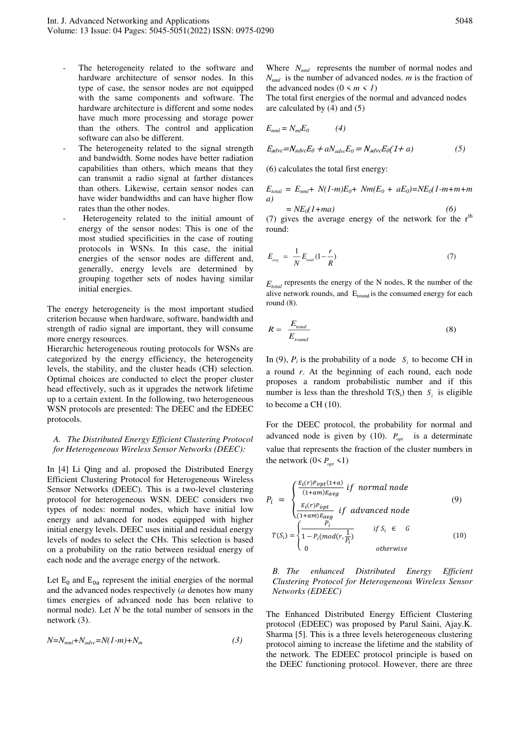- The heterogeneity related to the software and hardware architecture of sensor nodes. In this type of case, the sensor nodes are not equipped with the same components and software. The hardware architecture is different and some nodes have much more processing and storage power than the others. The control and application software can also be different.
- The heterogeneity related to the signal strength and bandwidth. Some nodes have better radiation capabilities than others, which means that they can transmit a radio signal at farther distances than others. Likewise, certain sensor nodes can have wider bandwidths and can have higher flow rates than the other nodes.
- Heterogeneity related to the initial amount of energy of the sensor nodes: This is one of the most studied specificities in the case of routing protocols in WSNs. In this case, the initial energies of the sensor nodes are different and, generally, energy levels are determined by grouping together sets of nodes having similar initial energies.

The energy heterogeneity is the most important studied criterion because when hardware, software, bandwidth and strength of radio signal are important, they will consume more energy resources.

Hierarchic heterogeneous routing protocols for WSNs are categorized by the energy efficiency, the heterogeneity levels, the stability, and the cluster heads (CH) selection. Optimal choices are conducted to elect the proper cluster head effectively, such as it upgrades the network lifetime up to a certain extent. In the following, two heterogeneous WSN protocols are presented: The DEEC and the EDEEC protocols.

*A. The Distributed Energy Efficient Clustering Protocol for Heterogeneous Wireless Sensor Networks (DEEC):* 

In [4] Li Qing and al. proposed the Distributed Energy Efficient Clustering Protocol for Heterogeneous Wireless Sensor Networks (DEEC). This is a two-level clustering protocol for heterogeneous WSN. DEEC considers two types of nodes: normal nodes, which have initial low energy and advanced for nodes equipped with higher initial energy levels. DEEC uses initial and residual energy levels of nodes to select the CHs. This selection is based on a probability on the ratio between residual energy of each node and the average energy of the network.

Let  $E_0$  and  $E_{0a}$  represent the initial energies of the normal and the advanced nodes respectively (*a* denotes how many times energies of advanced node has been relative to normal node). Let *N* be the total number of sensors in the network (3).

$$
N=N_{nml}+N_{advc}=N(1-m)+N_m\tag{3}
$$

Where  $N_{nml}$  represents the number of normal nodes and *Nnml* is the number of advanced nodes. *m* is the fraction of the advanced nodes  $(0 \le m \le 1)$ 

The total first energies of the normal and advanced nodes are calculated by (4) and (5)

$$
E_{nml} = N_{ml} E_0 \tag{4}
$$

$$
E_{advc} = N_{advc} E_0 + a N_{advc} E_0 = N_{advc} E_0 (1 + a)
$$
 (5)

(6) calculates the total first energy:

$$
E_{total} = E_{nml} + N(1-m)E_0 + Nm(E_0 + aE_0) = NE_0(1-m+m+m)
$$
  
a)

$$
=NE_0(1+ma) \tag{6}
$$

(7) gives the average energy of the network for the  $r<sup>th</sup>$ round:

$$
E_{\text{avg}} = \frac{1}{N} E_{\text{total}} \left( 1 - \frac{r}{R} \right) \tag{7}
$$

 $E_{total}$  represents the energy of the N nodes, R the number of the alive network rounds, and  $E_{round}$  is the consumed energy for each round (8).

$$
R = \frac{E_{total}}{E_{round}} \tag{8}
$$

In (9),  $P_i$  is the probability of a node  $S_i$  to become CH in a round *r*. At the beginning of each round, each node proposes a random probabilistic number and if this number is less than the threshold  $T(S_i)$  then  $S_i$  is eligible to become a CH (10).

For the DEEC protocol, the probability for normal and advanced node is given by (10).  $P_{opt}$  is a determinate value that represents the fraction of the cluster numbers in the network  $(0 \leq P_{opt} \leq 1)$ 

$$
P_{i} = \begin{cases} \frac{E_{i}(r)P_{opt}(1+a)}{(1+am)E_{avg}} & \text{if normal node} \\ \frac{E_{i}(r)P_{opt}}{(1+am)E_{avg}} & \text{if advanced node} \end{cases}
$$
(9)  

$$
T(S_{i}) = \begin{cases} \frac{P_{i}}{1-P_{i}(mod(r,\frac{1}{P_{i}}))} & \text{if } S_{i} \in G \\ 0 & \text{otherwise} \end{cases}
$$
(10)

*B. The enhanced Distributed Energy Efficient Clustering Protocol for Heterogeneous Wireless Sensor Networks (EDEEC)* 

The Enhanced Distributed Energy Efficient Clustering protocol (EDEEC) was proposed by Parul Saini, Ajay.K. Sharma [5]. This is a three levels heterogeneous clustering protocol aiming to increase the lifetime and the stability of the network. The EDEEC protocol principle is based on the DEEC functioning protocol. However, there are three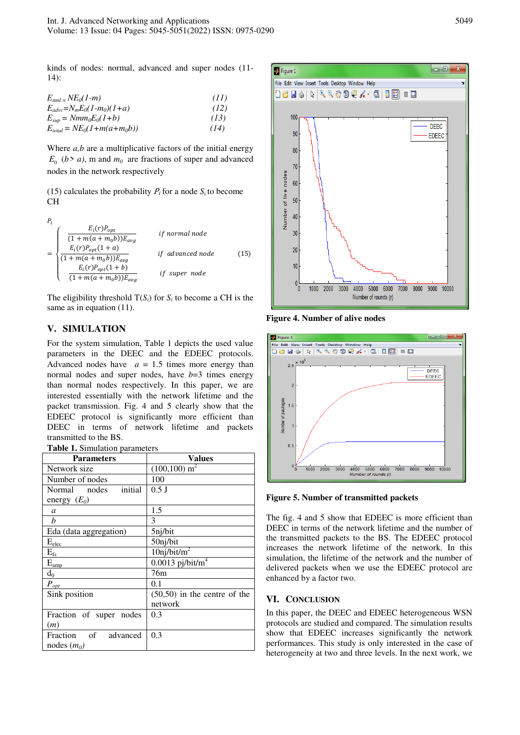kinds of nodes: normal, advanced and super nodes (11- 14):

| $E_{nml}$ = NE <sub>0</sub> (1-m)      | (II) |
|----------------------------------------|------|
| $E_{advc} = N_m E_0 (1 - m_0) (1 + a)$ | (12) |
| $E_{\rm sup} = Nmm_0E_0(1+b)$          | (13) |
| $E_{total} = NE_0(1+m(a+m_0b))$        | (14) |

Where *a*,*b* are a multiplicative factors of the initial energy  $E_0$  (*b* > *a*), m and  $m_0$  are fractions of super and advanced nodes in the network respectively

(15) calculates the probability  $P_i$  for a node  $S_i$  to become CH



The eligibility threshold  $T(S_i)$  for  $S_i$  to become a CH is the same as in equation  $(11)$ .

# **V. SIMULATION**

For the system simulation, Table 1 depicts the used value parameters in the DEEC and the EDEEC protocols. Advanced nodes have  $a = 1.5$  times more energy than normal nodes and super nodes, have  $b=3$  times energy than normal nodes respectively. In this paper, we are interested essentially with the network lifetime and the packet transmission. Fig. 4 and 5 clearly show that the EDEEC protocol is significantly more efficient than DEEC in terms of network lifetime and packets transmitted to the BS.

| Table 1. Simulation parameters |  |
|--------------------------------|--|
|--------------------------------|--|

| <b>Parameters</b>       | Values                         |
|-------------------------|--------------------------------|
| Network size            | $(100, 100)$ m <sup>2</sup>    |
| Number of nodes         | 100                            |
| initial<br>Normal nodes | $0.5$ J                        |
| energy $(E_0)$          |                                |
| a                       | 1.5                            |
| h                       | 3                              |
| Eda (data aggregation)  | 5nj/bit                        |
| $E_{\rm elec}$          | 50nj/bit                       |
| $E_{\rm fs}$            | $10$ nj/bit/m <sup>2</sup>     |
| $\rm E_{\rm amp}$       | $0.0013$ pj/bit/m <sup>4</sup> |
| $d_0$                   | 76m                            |
| $P_{\underline{opt}}$   | 0.1                            |
| Sink position           | $(50,50)$ in the centre of the |
|                         | network                        |
| Fraction of super nodes | 0.3                            |
| (m)                     |                                |
| Fraction of advanced    | 0.3                            |
| nodes $(m_0)$           |                                |



**Figure 4. Number of alive nodes**



**Figure 5. Number of transmitted packets** 

The fig. 4 and 5 show that EDEEC is more efficient than DEEC in terms of the network lifetime and the number of the transmitted packets to the BS. The EDEEC protocol increases the network lifetime of the network. In this simulation, the lifetime of the network and the number of delivered packets when we use the EDEEC protocol are enhanced by a factor two.

## **VI. CONCLUSION**

In this paper, the DEEC and EDEEC heterogeneous WSN protocols are studied and compared. The simulation results show that EDEEC increases significantly the network performances. This study is only interested in the case of heterogeneity at two and three levels. In the next work, we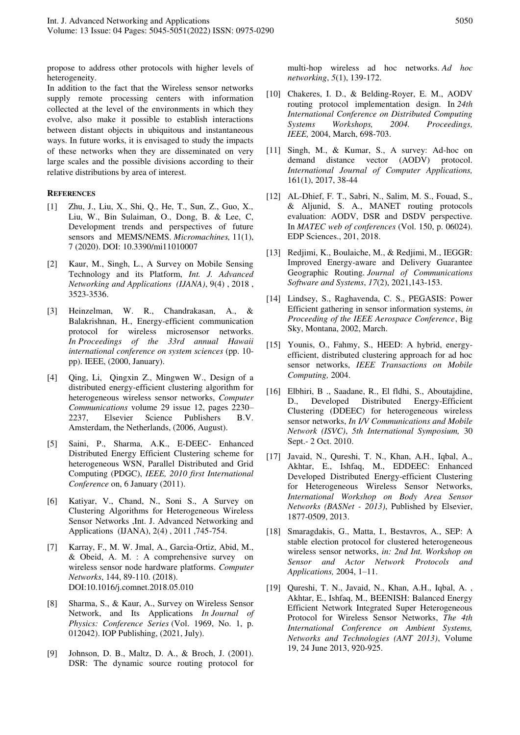propose to address other protocols with higher levels of heterogeneity.

In addition to the fact that the Wireless sensor networks supply remote processing centers with information collected at the level of the environments in which they evolve, also make it possible to establish interactions between distant objects in ubiquitous and instantaneous ways. In future works, it is envisaged to study the impacts of these networks when they are disseminated on very large scales and the possible divisions according to their relative distributions by area of interest.

### **REFERENCES**

- [1] Zhu, J., Liu, X., Shi, Q., He, T., Sun, Z., Guo, X., Liu, W., Bin Sulaiman, O., Dong, B. & Lee, C, Development trends and perspectives of future sensors and MEMS/NEMS. *Micromachines,* 11(1), 7 (2020). DOI: 10.3390/mi11010007
- [2] Kaur, M., Singh, L., A Survey on Mobile Sensing Technology and its Platform, *Int. J. Advanced Networking and Applications (IJANA)*, 9(4) , 2018 , 3523-3536.
- [3] Heinzelman, W. R., Chandrakasan, A., & Balakrishnan, H., Energy-efficient communication protocol for wireless microsensor networks. *In Proceedings of the 33rd annual Hawaii international conference on system sciences* (pp. 10 pp). IEEE, (2000, January).
- [4] Qing, Li, Qingxin Z., Mingwen W., Design of a distributed energy-efficient clustering algorithm for heterogeneous wireless sensor networks, *Computer Communications* volume 29 issue 12, pages 2230– 2237, Elsevier Science Publishers B.V. Amsterdam, the Netherlands, (2006, August).
- [5] Saini, P., Sharma, A.K., E-DEEC- Enhanced Distributed Energy Efficient Clustering scheme for heterogeneous WSN, Parallel Distributed and Grid Computing (PDGC), *IEEE, 2010 first International Conference* on, 6 January (2011).
- [6] Katiyar, V., Chand, N., Soni S., A Survey on Clustering Algorithms for Heterogeneous Wireless Sensor Networks ,Int. J. Advanced Networking and Applications (IJANA), 2(4) , 2011 ,745-754.
- [7] Karray, F., M. W. Jmal, A., Garcia-Ortiz, Abid, M., & Obeid, A. M. : A comprehensive survey on wireless sensor node hardware platforms. *Computer Networks*, 144, 89-110. (2018). DOI:10.1016/j.comnet.2018.05.010
- [8] Sharma, S., & Kaur, A., Survey on Wireless Sensor Network, and Its Applications *In Journal of Physics: Conference Series* (Vol. 1969, No. 1, p. 012042). IOP Publishing, (2021, July).
- [9] Johnson, D. B., Maltz, D. A., & Broch, J. (2001). DSR: The dynamic source routing protocol for

multi-hop wireless ad hoc networks. *Ad hoc networking*, *5*(1), 139-172.

- [10] Chakeres, I. D., & Belding-Royer, E. M., AODV routing protocol implementation design. In *24th International Conference on Distributed Computing Systems Workshops, 2004. Proceedings, IEEE,* 2004, March, 698-703.
- [11] Singh, M., & Kumar, S., A survey: Ad-hoc on demand distance vector (AODV) protocol. *International Journal of Computer Applications,* 161(1), 2017, 38-44
- [12] AL-Dhief, F. T., Sabri, N., Salim, M. S., Fouad, S., & Aljunid, S. A., MANET routing protocols evaluation: AODV, DSR and DSDV perspective. In *MATEC web of conferences* (Vol. 150, p. 06024). EDP Sciences., 201, 2018.
- [13] Redjimi, K., Boulaiche, M., & Redjimi, M., IEGGR: Improved Energy-aware and Delivery Guarantee Geographic Routing. *Journal of Communications Software and Systems*, *17*(2), 2021,143-153.
- [14] Lindsey, S., Raghavenda, C. S., PEGASIS: Power Efficient gathering in sensor information systems, *in Proceeding of the IEEE Aerospace Conference*, Big Sky, Montana, 2002, March.
- [15] Younis, O., Fahmy, S., HEED: A hybrid, energyefficient, distributed clustering approach for ad hoc sensor networks, *IEEE Transactions on Mobile Computing,* 2004.
- [16] Elbhiri, B ., Saadane, R., El fldhi, S., Aboutajdine, D., Developed Distributed Energy-Efficient Clustering (DDEEC) for heterogeneous wireless sensor networks, *In I/V Communications and Mobile Network (ISVC)*, *5th International Symposium,* 30 Sept.- 2 Oct. 2010.
- [17] Javaid, N., Qureshi, T. N., Khan, A.H., Iqbal, A., Akhtar, E., Ishfaq, M., EDDEEC: Enhanced Developed Distributed Energy-efficient Clustering for Heterogeneous Wireless Sensor Networks, *International Workshop on Body Area Sensor Networks (BASNet - 2013)*, Published by Elsevier, 1877-0509, 2013.
- [18] Smaragdakis, G., Matta, I., Bestavros, A., SEP: A stable election protocol for clustered heterogeneous wireless sensor networks, *in: 2nd Int. Workshop on Sensor and Actor Network Protocols and Applications,* 2004, 1–11.
- [19] Qureshi, T. N., Javaid, N., Khan, A.H., Iqbal, A. , Akhtar, E., Ishfaq, M., BEENISH: Balanced Energy Efficient Network Integrated Super Heterogeneous Protocol for Wireless Sensor Networks, *The 4th International Conference on Ambient Systems, Networks and Technologies (ANT 2013)*, Volume 19, 24 June 2013, 920-925.